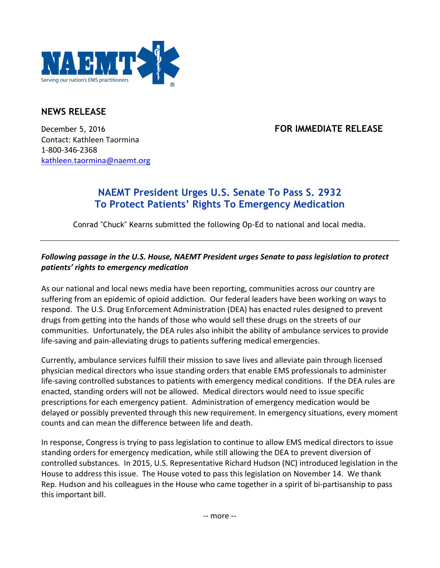

# **NEWS RELEASE**

December 5, 2016 **FOR IMMEDIATE RELEASE** Contact: Kathleen Taormina 1-800-346-2368 kathleen.taormina@naemt.org

# **NAEMT President Urges U.S. Senate To Pass S. 2932 To Protect Patients' Rights To Emergency Medication**

Conrad "Chuck" Kearns submitted the following Op-Ed to national and local media.

## Following passage in the U.S. House, NAEMT President urges Senate to pass legislation to protect *patients' rights to emergency medication*

As our national and local news media have been reporting, communities across our country are suffering from an epidemic of opioid addiction. Our federal leaders have been working on ways to respond. The U.S. Drug Enforcement Administration (DEA) has enacted rules designed to prevent drugs from getting into the hands of those who would sell these drugs on the streets of our communities. Unfortunately, the DEA rules also inhibit the ability of ambulance services to provide life-saving and pain-alleviating drugs to patients suffering medical emergencies.

Currently, ambulance services fulfill their mission to save lives and alleviate pain through licensed physician medical directors who issue standing orders that enable EMS professionals to administer life-saving controlled substances to patients with emergency medical conditions. If the DEA rules are enacted, standing orders will not be allowed. Medical directors would need to issue specific prescriptions for each emergency patient. Administration of emergency medication would be delayed or possibly prevented through this new requirement. In emergency situations, every moment counts and can mean the difference between life and death.

In response, Congress is trying to pass legislation to continue to allow EMS medical directors to issue standing orders for emergency medication, while still allowing the DEA to prevent diversion of controlled substances. In 2015, U.S. Representative Richard Hudson (NC) introduced legislation in the House to address this issue. The House voted to pass this legislation on November 14. We thank Rep. Hudson and his colleagues in the House who came together in a spirit of bi-partisanship to pass this important bill.